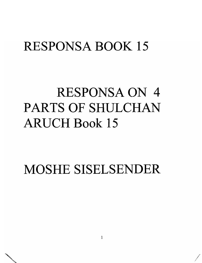## RESPONSA BOOK 15

# RESPONSA ON 4 PARTS OF SHULCHAN ARUCH Book 15

MOSHE SISELSENDER

/ /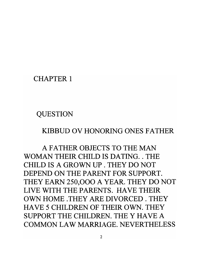#### CHAPTER 1

**QUESTION** 

#### KIBBUD OV HONORING ONES FATHER

A FATHER OBJECTS TO THE MAN WOMAN THEIR CHILD **IS** DATING .. THE CHILD **IS** A GROWN UP . THEY DO NOT DEPEND ON THE PARENT FOR SUPPORT. THEY EARN 250,000 A YEAR. THEY DO NOT LIVE WITH THE PARENTS. HAVE THEIR OWN HOME .THEY ARE DIVORCED. THEY HAVE 5 CHILDREN OF THEIR OWN. THEY SUPPORT THE CHILDREN. THE Y HAVE A COMMON LAW MARRIAGE. NEVERTHELESS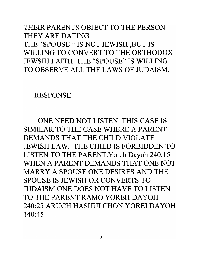### THEIR PARENTS OBJECT TO THE PERSON THEY ARE DATING. THE "SPOUSE " IS NOT JEWISH ,BUT IS WILLING TO CONVERT TO THE ORTHODOX JEWSIH FAITH. THE "SPOUSE" IS WILLING TO OBSERVE ALL THE LAWS OF JUDAISM.

#### RESPONSE

ONE NEED NOT LISTEN. THIS CASE IS SIMILAR TO THE CASE WHERE A PARENT DEMANDS THAT THE CHILD VIOLATE JEWISH LAW. THE CHILD IS FORBIDDEN TO LISTEN TO THE PARENT.Yoreh Dayoh 240:15 WHEN A PARENT DEMANDS THAT ONE NOT MARRY A SPOUSE ONE DESIRES AND THE SPOUSE IS JEWISH OR CONVERTS TO JUDAISM ONE DOES NOT HAVE TO LISTEN TO THE PARENT RAMO YOREH DAYOH 240:25 ARUCH HASHULCHON YOREI DAYOH 140:45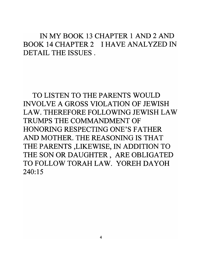IN MY BOOK **13** CHAPTER 1 AND 2 AND BOOK **14** CHAPTER 2 I HAVE ANALYZED IN DETAIL THE ISSUES.

TO LISTEN TO THE PARENTS WOULD INVOLVE A GROSS VIOLATION OF JEWISH LAW. THEREFORE FOLLOWING JEWISH LAW TRUMPS THE COMMANDMENT OF HONORING RESPECTING ONE'S FATHER AND MOTHER. THE REASONING **IS** THAT THE PARENTS ,LIKEWISE, IN ADDITION TO THE SON OR DAUGHTER, ARE OBLIGATED TO FOLLOW TORAH LAW. YOREH DA YOH **240:15**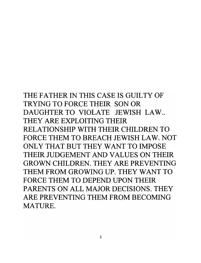THE FATHER IN THIS CASE **IS** GUILTY OF TRYING TO FORCE THEIR SON OR DAUGHTER TO VIOLATE JEWISH LAW... THEY ARE EXPLOITING THEIR RELATIONSHIP WITH THEIR CHILDREN TO FORCE THEM TO BREACH JEWISH LAW. NOT ONLY THAT BUT THEY WANT TO IMPOSE THEIR JUDGEMENT AND VALUES ON THEIR GROWN CHILDREN. THEY ARE PREVENTING THEM FROM GROWING UP. THEY WANT TO FORCE THEM TO DEPEND UPON THEIR PARENTS ON ALL MAJOR DECISIONS. THEY ARE PREVENTING THEM FROM BECOMING MATURE.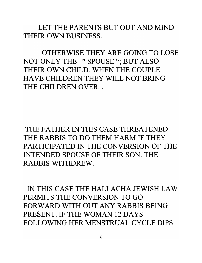LET THE PARENTS BUT OUT AND MIND THEIR OWN BUSINESS.

OTHERWISE THEY ARE GOING TO LOSE NOT ONLY THE "SPOUSE"; BUT ALSO THEIR OWN CHILD. WHEN THE COUPLE HAVE CHILDREN THEY WILL NOT BRING THE CHILDREN OVER...

THE FATHER IN THIS CASE THREATENED THE RABBIS TO DO THEM HARM **IF** THEY PARTICIPATED IN THE CONVERSION OF THE INTENDED SPOUSE OF THEIR SON. THE RABBIS WITHDREW.

IN THIS CASE THE HALLACHA JEWISH LAW PERMITS THE CONVERSION TO GO FORWARD WITH OUT ANY RABBIS BEING PRESENT. **IF** THE WOMAN **12** DAYS FOLLOWING HER MENSTRUAL CYCLE **DIPS**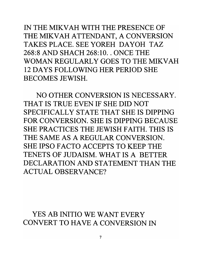IN THE MIKV AH WITH THE PRESENCE OF THE MIKVAH ATTENDANT, A CONVERSION TAKES PLACE. SEE YOREH DAYOH TAZ 268:8 AND SHACH 268: 10 .. ONCE THE WOMAN REGULARLY GOES TO THE MIKVAH 12 DAYS FOLLOWING HER PERIOD SHE BECOMES JEWISH.

NO OTHER CONVERSION IS NECESSARY. THAT IS TRUE EVEN IF SHE DID NOT SPECIFICALLY STATE THAT SHE IS DIPPING FOR CONVERSION. SHE IS DIPPING BECAUSE SHE PRACTICES THE JEWISH FAITH. THIS IS THE SAME AS A REGULAR CONVERSION. SHE IPSO FACTO ACCEPTS TO KEEP THE TENETS OF JUDAISM. WHAT IS A BETTER DECLARATION AND STATEMENT THAN THE ACTUAL OBSERVANCE?

YES AB INITIO WE WANT EVERY CONVERT TO HAVE A CONVERSION IN